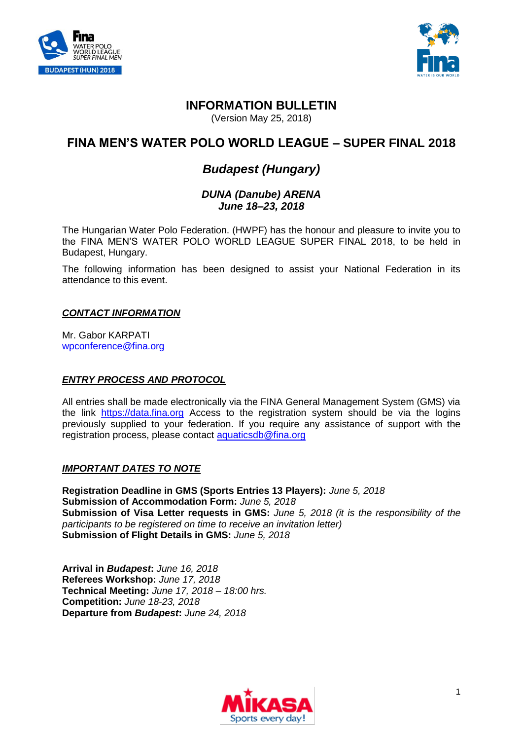



# **INFORMATION BULLETIN**

(Version May 25, 2018)

# **FINA MEN'S WATER POLO WORLD LEAGUE – SUPER FINAL 2018**

# *Budapest (Hungary)*

# *DUNA (Danube) ARENA June 18–23, 2018*

The Hungarian Water Polo Federation. (HWPF) has the honour and pleasure to invite you to the FINA MEN'S WATER POLO WORLD LEAGUE SUPER FINAL 2018, to be held in Budapest, Hungary.

The following information has been designed to assist your National Federation in its attendance to this event.

#### *CONTACT INFORMATION*

Mr. Gabor KARPATI [wpconference@fina.org](mailto:wpconference@fina.org)

#### *ENTRY PROCESS AND PROTOCOL*

All entries shall be made electronically via the FINA General Management System (GMS) via the link [https://data.fina.org](https://data.fina.org/) Access to the registration system should be via the logins previously supplied to your federation. If you require any assistance of support with the registration process, please contact [aquaticsdb@fina.org](mailto:aquaticsdb@fina.org)

# *IMPORTANT DATES TO NOTE*

**Registration Deadline in GMS (Sports Entries 13 Players):** *June 5, 2018* **Submission of Accommodation Form:** *June 5, 2018* **Submission of Visa Letter requests in GMS:** *June 5, 2018 (it is the responsibility of the participants to be registered on time to receive an invitation letter)* **Submission of Flight Details in GMS:** *June 5, 2018*

**Arrival in** *Budapest***:** *June 16, 2018* **Referees Workshop:** *June 17, 2018*  **Technical Meeting:** *June 17, 2018 – 18:00 hrs.*  **Competition:** *June 18-23, 2018* **Departure from** *Budapest***:** *June 24, 2018*

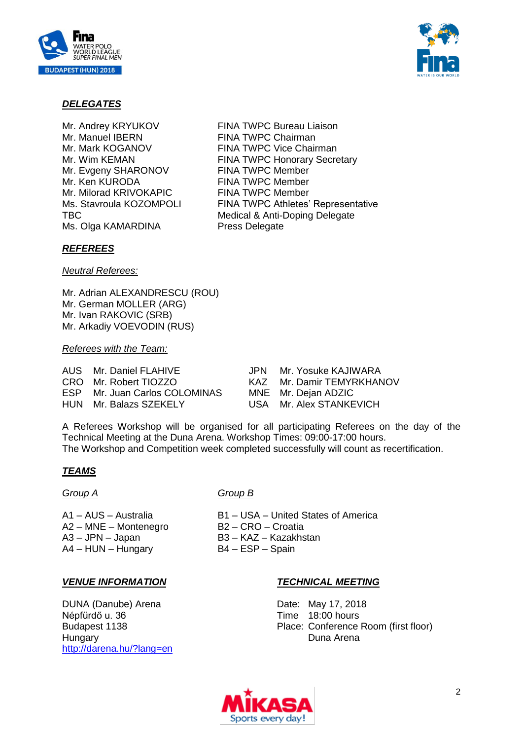



#### *DELEGATES*

- Mr. Manuel IBERN FINA TWPC Chairman Mr. Evgeny SHARONOV FINA TWPC Member Mr. Ken KURODA FINA TWPC Member Mr. Milorad KRIVOKAPIC FINA TWPC Member Ms. Olga KAMARDINA Press Delegate
- Mr. Andrey KRYUKOV FINA TWPC Bureau Liaison Mr. Mark KOGANOV FINA TWPC Vice Chairman<br>
Mr. Wim KEMAN FINA TWPC Honorary Secre **FINA TWPC Honorary Secretary** Ms. Stavroula KOZOMPOLI FINA TWPC Athletes' Representative TBC **Medical & Anti-Doping Delegate**

#### *REFEREES*

*Neutral Referees:*

Mr. Adrian ALEXANDRESCU (ROU) Mr. German MOLLER (ARG) Mr. Ivan RAKOVIC (SRB) Mr. Arkadiy VOEVODIN (RUS)

#### *Referees with the Team:*

|                                                                                                            | JPN Mr. Yosuke KAJIWARA   |
|------------------------------------------------------------------------------------------------------------|---------------------------|
|                                                                                                            | KAZ Mr. Damir TEMYRKHANOV |
|                                                                                                            | MNE Mr. Dejan ADZIC       |
|                                                                                                            | USA Mr. Alex STANKEVICH   |
| AUS Mr. Daniel FLAHIVE<br>CRO Mr. Robert TIOZZO<br>ESP Mr. Juan Carlos COLOMINAS<br>HUN Mr. Balazs SZEKELY |                           |

A Referees Workshop will be organised for all participating Referees on the day of the Technical Meeting at the Duna Arena. Workshop Times: 09:00-17:00 hours. The Workshop and Competition week completed successfully will count as recertification.

# *TEAMS*

A1 – AUS – Australia entries and B1 – USA – United States of America<br>A2 – MNF – Montenegro B2 – CRO – Croatia A2 – MNE – Montenegro<br>A3 – JPN – Japan A4 – HUN – Hungary B4 – ESP – Spain

#### *VENUE INFORMATION*

DUNA (Danube) Arena Népfürdő u. 36 Budapest 1138 **Hungary** <http://darena.hu/?lang=en>

# *Group A Group B*

- 
- 
- B3 KAZ Kazakhstan
- -

# *TECHNICAL MEETING*

Date: May 17, 2018 Time 18:00 hours Place: Conference Room (first floor) Duna Arena

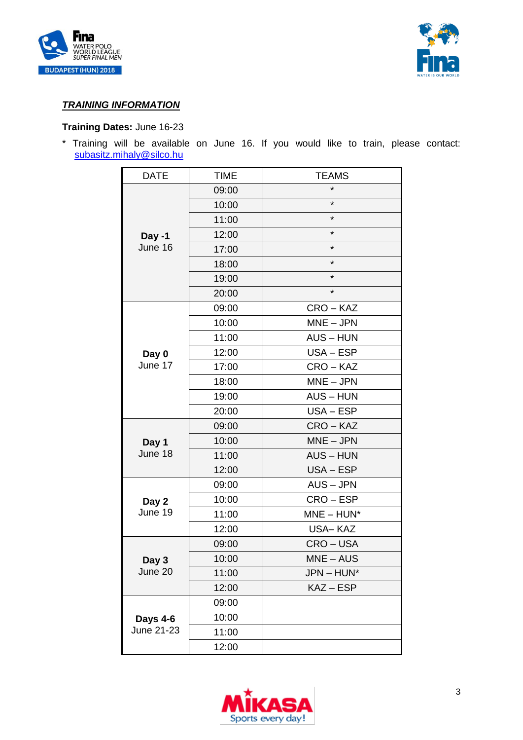



# *TRAINING INFORMATION*

# **Training Dates:** June 16-23

\* Training will be available on June 16. If you would like to train, please contact: [subasitz.mihaly@silco.hu](mailto:subasitz.mihaly@silco.hu)

| <b>DATE</b>            | <b>TIME</b> | <b>TEAMS</b>   |
|------------------------|-------------|----------------|
|                        | 09:00       | $\star$        |
|                        | 10:00       | $^\star$       |
|                        | 11:00       | $\star$        |
| Day -1<br>June 16      | 12:00       | $^\star$       |
|                        | 17:00       | $\star$        |
|                        | 18:00       | $\star$        |
|                        | 19:00       | $\star$        |
|                        | 20:00       | $\star$        |
| Day 0<br>June 17       | 09:00       | CRO-KAZ        |
|                        | 10:00       | $MNE - JPN$    |
|                        | 11:00       | $AUS - HUN$    |
|                        | 12:00       | USA-ESP        |
|                        | 17:00       | CRO-KAZ        |
|                        | 18:00       | $MNE - JPN$    |
|                        | 19:00       | <b>AUS-HUN</b> |
|                        | 20:00       | USA-ESP        |
|                        | 09:00       | CRO-KAZ        |
| Day 1                  | 10:00       | $MNE - JPN$    |
| June 18                | 11:00       | <b>AUS-HUN</b> |
|                        | 12:00       | USA-ESP        |
|                        | 09:00       | AUS-JPN        |
| Day 2                  | 10:00       | CRO-ESP        |
| June 19                | 11:00       | $MNE - HUN^*$  |
|                        | 12:00       | USA-KAZ        |
| Day 3<br>June 20       | 09:00       | CRO-USA        |
|                        | 10:00       | MNE – AUS      |
|                        | 11:00       | JPN-HUN*       |
|                        | 12:00       | $KAZ - ESP$    |
| Days 4-6<br>June 21-23 | 09:00       |                |
|                        | 10:00       |                |
|                        | 11:00       |                |
|                        | 12:00       |                |

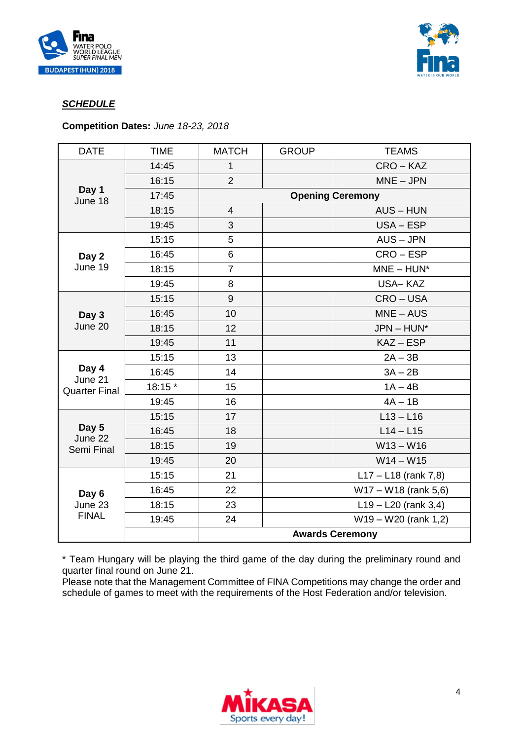



# *SCHEDULE*

**Competition Dates:** *June 18-23, 2018*

| <b>DATE</b>                              | <b>TIME</b> | <b>MATCH</b>            | <b>GROUP</b> | <b>TEAMS</b>            |
|------------------------------------------|-------------|-------------------------|--------------|-------------------------|
| Day 1<br>June 18                         | 14:45       | 1                       |              | CRO-KAZ                 |
|                                          | 16:15       | $\overline{2}$          |              | $MNE - JPN$             |
|                                          | 17:45       | <b>Opening Ceremony</b> |              |                         |
|                                          | 18:15       | $\overline{4}$          |              | <b>AUS-HUN</b>          |
|                                          | 19:45       | 3                       |              | USA-ESP                 |
| Day 2<br>June 19                         | 15:15       | 5                       |              | $AUS - JPN$             |
|                                          | 16:45       | 6                       |              | CRO – ESP               |
|                                          | 18:15       | $\overline{7}$          |              | $MNE - HUN^*$           |
|                                          | 19:45       | 8                       |              | <b>USA-KAZ</b>          |
| Day 3<br>June 20                         | 15:15       | 9                       |              | CRO-USA                 |
|                                          | 16:45       | 10                      |              | $MNE - AUS$             |
|                                          | 18:15       | 12                      |              | $JPN - HUN^*$           |
|                                          | 19:45       | 11                      |              | KAZ-ESP                 |
| Day 4<br>June 21<br><b>Quarter Final</b> | 15:15       | 13                      |              | $2A - 3B$               |
|                                          | 16:45       | 14                      |              | $3A - 2B$               |
|                                          | 18:15 *     | 15                      |              | $1A - 4B$               |
|                                          | 19:45       | 16                      |              | $4A - 1B$               |
| Day 5<br>June 22<br>Semi Final           | 15:15       | 17                      |              | $L$ 13 - $L$ 16         |
|                                          | 16:45       | 18                      |              | $L14 - L15$             |
|                                          | 18:15       | 19                      |              | $W13 - W16$             |
|                                          | 19:45       | 20                      |              | $W14 - W15$             |
| Day 6<br>June 23<br><b>FINAL</b>         | 15:15       | 21                      |              | $L17 - L18$ (rank 7,8)  |
|                                          | 16:45       | 22                      |              | $W17 - W18$ (rank 5,6)  |
|                                          | 18:15       | 23                      |              | $L$ 19 – L20 (rank 3,4) |
|                                          | 19:45       | 24                      |              | $W19 - W20$ (rank 1,2)  |
|                                          |             | <b>Awards Ceremony</b>  |              |                         |

\* Team Hungary will be playing the third game of the day during the preliminary round and quarter final round on June 21.

Please note that the Management Committee of FINA Competitions may change the order and schedule of games to meet with the requirements of the Host Federation and/or television.

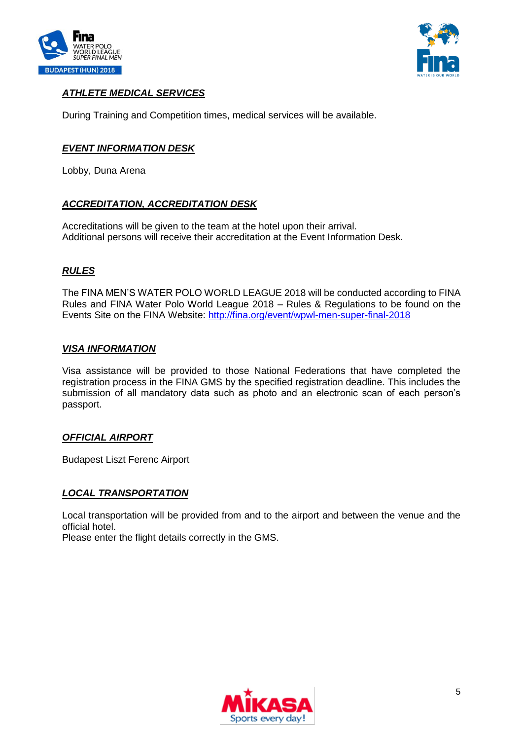



# *ATHLETE MEDICAL SERVICES*

During Training and Competition times, medical services will be available.

#### *EVENT INFORMATION DESK*

Lobby, Duna Arena

# *ACCREDITATION, ACCREDITATION DESK*

Accreditations will be given to the team at the hotel upon their arrival. Additional persons will receive their accreditation at the Event Information Desk.

#### *RULES*

The FINA MEN'S WATER POLO WORLD LEAGUE 2018 will be conducted according to FINA Rules and FINA Water Polo World League 2018 – Rules & Regulations to be found on the Events Site on the FINA Website:<http://fina.org/event/wpwl-men-super-final-2018>

#### *VISA INFORMATION*

Visa assistance will be provided to those National Federations that have completed the registration process in the FINA GMS by the specified registration deadline. This includes the submission of all mandatory data such as photo and an electronic scan of each person's passport.

#### *OFFICIAL AIRPORT*

Budapest Liszt Ferenc Airport

#### *LOCAL TRANSPORTATION*

Local transportation will be provided from and to the airport and between the venue and the official hotel.

Please enter the flight details correctly in the GMS.